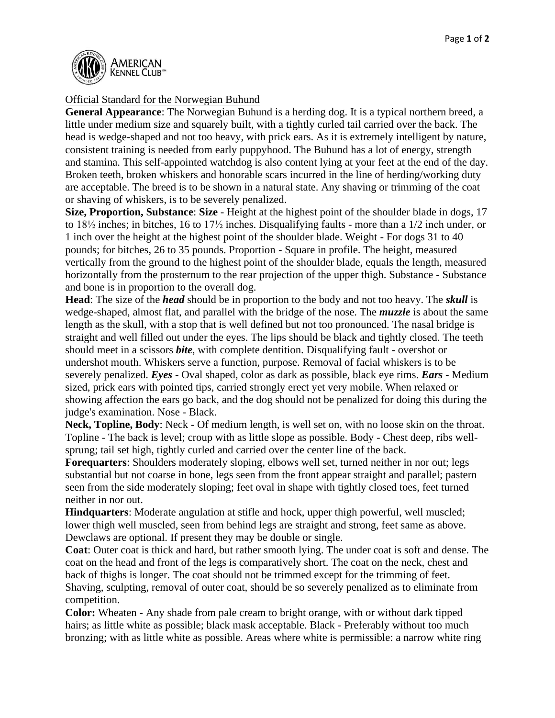

## Official Standard for the Norwegian Buhund

**General Appearance**: The Norwegian Buhund is a herding dog. It is a typical northern breed, a little under medium size and squarely built, with a tightly curled tail carried over the back. The head is wedge-shaped and not too heavy, with prick ears. As it is extremely intelligent by nature, consistent training is needed from early puppyhood. The Buhund has a lot of energy, strength and stamina. This self-appointed watchdog is also content lying at your feet at the end of the day. Broken teeth, broken whiskers and honorable scars incurred in the line of herding/working duty are acceptable. The breed is to be shown in a natural state. Any shaving or trimming of the coat or shaving of whiskers, is to be severely penalized.

**Size, Proportion, Substance**: **Size** - Height at the highest point of the shoulder blade in dogs, 17 to 18½ inches; in bitches, 16 to 17½ inches. Disqualifying faults - more than a 1/2 inch under, or 1 inch over the height at the highest point of the shoulder blade. Weight - For dogs 31 to 40 pounds; for bitches, 26 to 35 pounds. Proportion - Square in profile. The height, measured vertically from the ground to the highest point of the shoulder blade, equals the length, measured horizontally from the prosternum to the rear projection of the upper thigh. Substance - Substance and bone is in proportion to the overall dog.

**Head**: The size of the *head* should be in proportion to the body and not too heavy. The *skull* is wedge-shaped, almost flat, and parallel with the bridge of the nose. The *muzzle* is about the same length as the skull, with a stop that is well defined but not too pronounced. The nasal bridge is straight and well filled out under the eyes. The lips should be black and tightly closed. The teeth should meet in a scissors *bite*, with complete dentition. Disqualifying fault - overshot or undershot mouth. Whiskers serve a function, purpose. Removal of facial whiskers is to be severely penalized. *Eyes* - Oval shaped, color as dark as possible, black eye rims. *Ears* - Medium sized, prick ears with pointed tips, carried strongly erect yet very mobile. When relaxed or showing affection the ears go back, and the dog should not be penalized for doing this during the judge's examination. Nose - Black.

**Neck, Topline, Body**: Neck - Of medium length, is well set on, with no loose skin on the throat. Topline - The back is level; croup with as little slope as possible. Body - Chest deep, ribs wellsprung; tail set high, tightly curled and carried over the center line of the back.

**Forequarters**: Shoulders moderately sloping, elbows well set, turned neither in nor out; legs substantial but not coarse in bone, legs seen from the front appear straight and parallel; pastern seen from the side moderately sloping; feet oval in shape with tightly closed toes, feet turned neither in nor out.

**Hindquarters**: Moderate angulation at stifle and hock, upper thigh powerful, well muscled; lower thigh well muscled, seen from behind legs are straight and strong, feet same as above. Dewclaws are optional. If present they may be double or single.

**Coat**: Outer coat is thick and hard, but rather smooth lying. The under coat is soft and dense. The coat on the head and front of the legs is comparatively short. The coat on the neck, chest and back of thighs is longer. The coat should not be trimmed except for the trimming of feet. Shaving, sculpting, removal of outer coat, should be so severely penalized as to eliminate from competition.

**Color:** Wheaten - Any shade from pale cream to bright orange, with or without dark tipped hairs; as little white as possible; black mask acceptable. Black - Preferably without too much bronzing; with as little white as possible. Areas where white is permissible: a narrow white ring